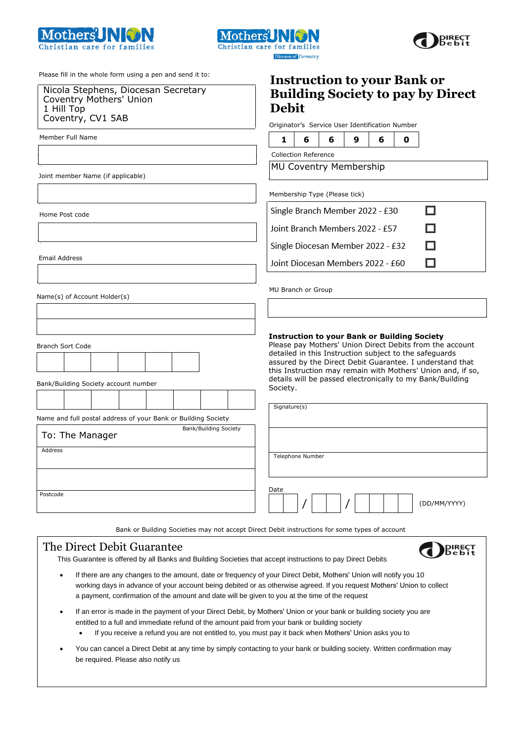





Please fill in the whole form using a pen and send it to:

Nicola Stephens, Diocesan Secretary Coventry Mothers' Union 1 Hill Top Coventry, CV1 5AB

Member Full Name

Joint member Name (if applicable)

Home Post code

Email Address

Name(s) of Account Holder(s)

Branch Sort Code

Bank/Building Society account number

Name and full postal address of your Bank or Building Society

To: The Manager Bank/Building Society Address Postcode

| <b>Debit</b>                                    |  |  | <b>Instruction to your Bank or</b><br><b>Building Society to pay by Direct</b> |
|-------------------------------------------------|--|--|--------------------------------------------------------------------------------|
| Originator's Service User Identification Number |  |  |                                                                                |
| 16696                                           |  |  |                                                                                |

Collection Reference

MU Coventry Membership

Membership Type (Please tick)

Single Branch Member 2022 - £30 П Joint Branch Members 2022 - £57 п П Single Diocesan Member 2022 - £32 П Joint Diocesan Members 2022 - £60

MU Branch or Group

#### **Instruction to your Bank or Building Society**

Please pay Mothers' Union Direct Debits from the account detailed in this Instruction subject to the safeguards assured by the Direct Debit Guarantee. I understand that this Instruction may remain with Mothers' Union and, if so, details will be passed electronically to my Bank/Building Society.

Bank or Building Societies may not accept Direct Debit instructions for some types of account

## The Direct Debit Guarantee

This Guarantee is offered by all Banks and Building Societies that accept instructions to pay Direct Debits



- If there are any changes to the amount, date or frequency of your Direct Debit, Mothers' Union will notify you 10 working days in advance of your account being debited or as otherwise agreed. If you request Mothers' Union to collect a payment, confirmation of the amount and date will be given to you at the time of the request
- If an error is made in the payment of your Direct Debit, by Mothers' Union or your bank or building society you are entitled to a full and immediate refund of the amount paid from your bank or building society
	- If you receive a refund you are not entitled to, you must pay it back when Mothers' Union asks you to
- You can cancel a Direct Debit at any time by simply contacting to your bank or building society. Written confirmation may be required. Please also notify us